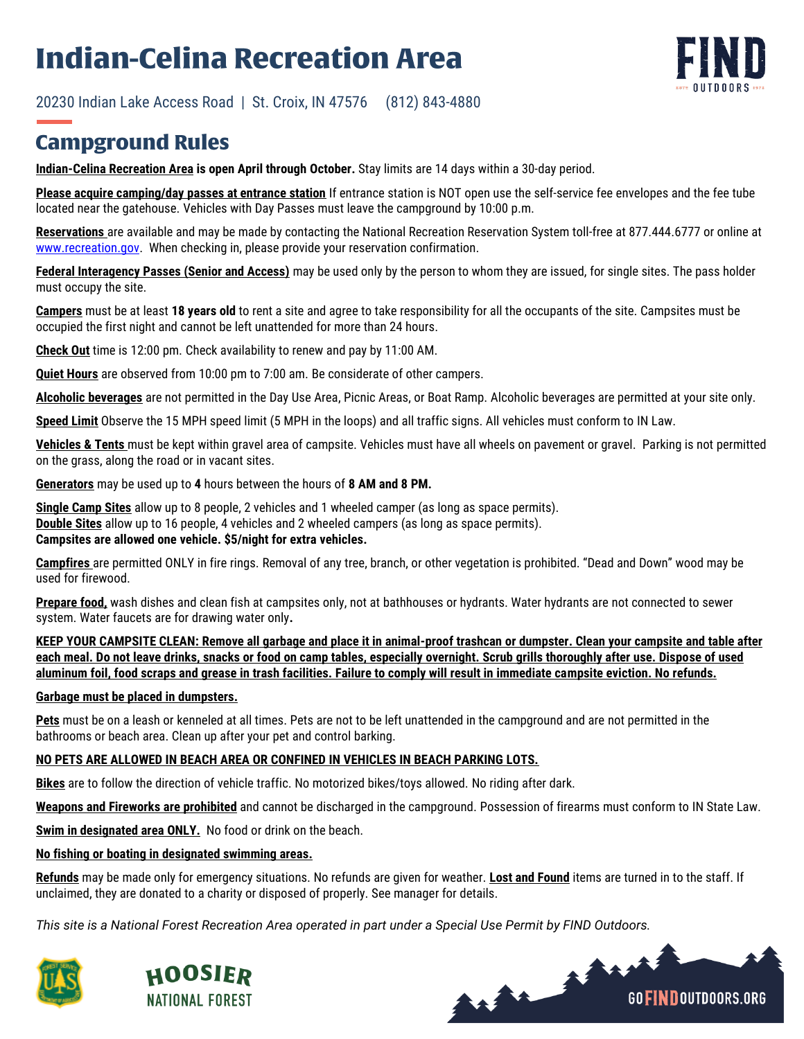# **Indian-Celina Recreation Area**



**GOFINDOUTDOORS.ORG** 

20230 Indian Lake Access Road | St. Croix, IN 47576 (812) 843-4880

## **Campground Rules**

**Indian-Celina Recreation Area is open April through October.** Stay limits are 14 days within a 30-day period.

**Please acquire camping/day passes at entrance station** If entrance station is NOT open use the self-service fee envelopes and the fee tube located near the gatehouse. Vehicles with Day Passes must leave the campground by 10:00 p.m.

**Reservations** are available and may be made by contacting the National Recreation Reservation System toll-free at 877.444.6777 or online at [www.recreation.gov.](http://www.recreation.gov/) When checking in, please provide your reservation confirmation.

**Federal Interagency Passes (Senior and Access)** may be used only by the person to whom they are issued, for single sites. The pass holder must occupy the site.

**Campers** must be at least **18 years old** to rent a site and agree to take responsibility for all the occupants of the site. Campsites must be occupied the first night and cannot be left unattended for more than 24 hours.

**Check Out** time is 12:00 pm. Check availability to renew and pay by 11:00 AM.

**Quiet Hours** are observed from 10:00 pm to 7:00 am. Be considerate of other campers.

**Alcoholic beverages** are not permitted in the Day Use Area, Picnic Areas, or Boat Ramp. Alcoholic beverages are permitted at your site only.

**Speed Limit** Observe the 15 MPH speed limit (5 MPH in the loops) and all traffic signs. All vehicles must conform to IN Law.

**Vehicles & Tents** must be kept within gravel area of campsite. Vehicles must have all wheels on pavement or gravel. Parking is not permitted on the grass, along the road or in vacant sites.

**Generators** may be used up to **4** hours between the hours of **8 AM and 8 PM.**

**Single Camp Sites** allow up to 8 people, 2 vehicles and 1 wheeled camper (as long as space permits). **Double Sites** allow up to 16 people, 4 vehicles and 2 wheeled campers (as long as space permits). **Campsites are allowed one vehicle. \$5/night for extra vehicles.** 

**Campfires** are permitted ONLY in fire rings. Removal of any tree, branch, or other vegetation is prohibited. "Dead and Down" wood may be used for firewood.

**Prepare food,** wash dishes and clean fish at campsites only, not at bathhouses or hydrants. Water hydrants are not connected to sewer system. Water faucets are for drawing water only**.**

**KEEP YOUR CAMPSITE CLEAN: Remove all garbage and place it in animal-proof trashcan or dumpster. Clean your campsite and table after each meal. Do not leave drinks, snacks or food on camp tables, especially overnight. Scrub grills thoroughly after use. Dispose of used aluminum foil, food scraps and grease in trash facilities. Failure to comply will result in immediate campsite eviction. No refunds.**

#### **Garbage must be placed in dumpsters.**

**Pets** must be on a leash or kenneled at all times. Pets are not to be left unattended in the campground and are not permitted in the bathrooms or beach area. Clean up after your pet and control barking.

### **NO PETS ARE ALLOWED IN BEACH AREA OR CONFINED IN VEHICLES IN BEACH PARKING LOTS.**

**Bikes** are to follow the direction of vehicle traffic. No motorized bikes/toys allowed. No riding after dark.

**Weapons and Fireworks are prohibited** and cannot be discharged in the campground. Possession of firearms must conform to IN State Law.

**Swim in designated area ONLY.** No food or drink on the beach.

#### **No fishing or boating in designated swimming areas.**

**Refunds** may be made only for emergency situations. No refunds are given for weather. **Lost and Found** items are turned in to the staff. If unclaimed, they are donated to a charity or disposed of properly. See manager for details.

*This site is a National Forest Recreation Area operated in part under a Special Use Permit by FIND Outdoors.*